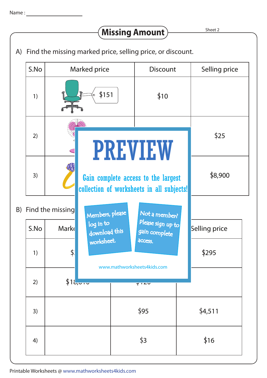## **Missing Amount**

Sheet 2

A) Find the missing marked price, selling price, or discount.

|  | S.No                | Marked price |                                                                                                    | <b>Discount</b>                        |  | Selling price |  |
|--|---------------------|--------------|----------------------------------------------------------------------------------------------------|----------------------------------------|--|---------------|--|
|  | 1)                  |              | \$151                                                                                              | \$10                                   |  |               |  |
|  | 2)                  |              | <b>PREVIEW</b><br>Gain complete access to the largest<br>collection of worksheets in all subjects! |                                        |  | \$25          |  |
|  | 3)                  |              |                                                                                                    |                                        |  | \$8,900       |  |
|  | B) Find the missing |              | Members, please                                                                                    | Not a member?                          |  |               |  |
|  | S.No                | <b>Mark</b>  | log in to<br>download this                                                                         | Please sign up to<br>gain complete     |  | Selling price |  |
|  | 1)                  | \$.          | worksheet.                                                                                         | access.<br>www.mathworksheets4kids.com |  | \$295         |  |
|  | 2)                  | \$1b, 0.00   |                                                                                                    | マコイ                                    |  |               |  |
|  | 3)                  |              |                                                                                                    | \$95                                   |  | \$4,511       |  |
|  | 4)                  |              |                                                                                                    | \$3                                    |  | \$16          |  |